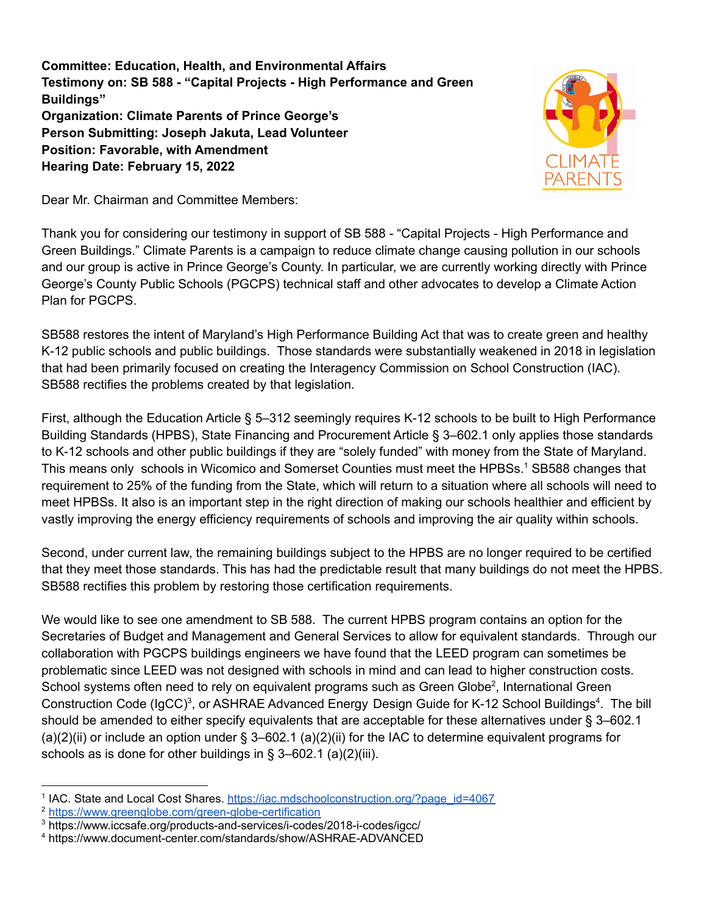**Committee: Education, Health, and Environmental Affairs Testimony on: SB 588 - "Capital Projects - High Performance and Green Buildings" Organization: Climate Parents of Prince George's Person Submitting: Joseph Jakuta, Lead Volunteer Position: Favorable, with Amendment Hearing Date: February 15, 2022**



Dear Mr. Chairman and Committee Members:

Thank you for considering our testimony in support of SB 588 - "Capital Projects - High Performance and Green Buildings." Climate Parents is a campaign to reduce climate change causing pollution in our schools and our group is active in Prince George's County. In particular, we are currently working directly with Prince George's County Public Schools (PGCPS) technical staff and other advocates to develop a Climate Action Plan for PGCPS.

SB588 restores the intent of Maryland's High Performance Building Act that was to create green and healthy K-12 public schools and public buildings. Those standards were substantially weakened in 2018 in legislation that had been primarily focused on creating the Interagency Commission on School Construction (IAC). SB588 rectifies the problems created by that legislation.

First, although the Education Article § 5–312 seemingly requires K-12 schools to be built to High Performance Building Standards (HPBS), State Financing and Procurement Article § 3–602.1 only applies those standards to K-12 schools and other public buildings if they are "solely funded" with money from the State of Maryland. This means only schools in Wicomico and Somerset Counties must meet the HPBSs.<sup>1</sup> SB588 changes that requirement to 25% of the funding from the State, which will return to a situation where all schools will need to meet HPBSs. It also is an important step in the right direction of making our schools healthier and efficient by vastly improving the energy efficiency requirements of schools and improving the air quality within schools.

Second, under current law, the remaining buildings subject to the HPBS are no longer required to be certified that they meet those standards. This has had the predictable result that many buildings do not meet the HPBS. SB588 rectifies this problem by restoring those certification requirements.

We would like to see one amendment to SB 588. The current HPBS program contains an option for the Secretaries of Budget and Management and General Services to allow for equivalent standards. Through our collaboration with PGCPS buildings engineers we have found that the LEED program can sometimes be problematic since LEED was not designed with schools in mind and can lead to higher construction costs. School systems often need to rely on equivalent programs such as Green Globe<sup>2</sup>, International Green Construction Code (IgCC)<sup>3</sup>, or ASHRAE Advanced Energy Design Guide for K-12 School Buildings<sup>4</sup>. The bill should be amended to either specify equivalents that are acceptable for these alternatives under § 3–602.1 (a)(2)(ii) or include an option under § 3–602.1 (a)(2)(ii) for the IAC to determine equivalent programs for schools as is done for other buildings in § 3–602.1 (a)(2)(iii).

<sup>&</sup>lt;sup>1</sup> IAC. State and Local Cost Shares. [https://iac.mdschoolconstruction.org/?page\\_id=4067](https://iac.mdschoolconstruction.org/?page_id=4067)

<sup>2</sup> <https://www.greenglobe.com/green-globe-certification>

<sup>3</sup> https://www.iccsafe.org/products-and-services/i-codes/2018-i-codes/igcc/

<sup>4</sup> https://www.document-center.com/standards/show/ASHRAE-ADVANCED